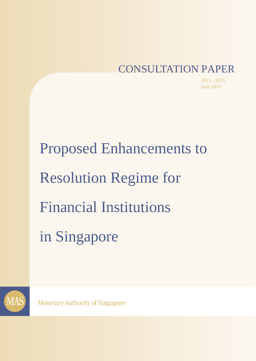# CONSULTATION PAPER

P011 - 2015 June 2015

Proposed Enhancements to Resolution Regime for Financial Institutions in Singapore



**Monetary Authority of Singapore**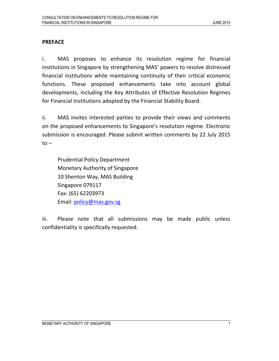## PREFACE

i. MAS proposes to enhance its resolution regime for financial institutions in Singapore by strengthening MAS' powers to resolve distressed financial institutions while maintaining continuity of their critical economic functions. These proposed enhancements take into account global developments, including the Key Attributes of Effective Resolution Regimes for Financial Institutions adopted by the Financial Stability Board.

ii. MAS invites interested parties to provide their views and comments on the proposed enhancements to Singapore's resolution regime. Electronic submission is encouraged. Please submit written comments by 22 July 2015  $to -$ 

Prudential Policy Department Monetary Authority of Singapore 10 Shenton Way, MAS Building Singapore 079117 Fax: (65) 62203973 Email: policy@mas.gov.sg

iii. Please note that all submissions may be made public unless confidentiality is specifically requested.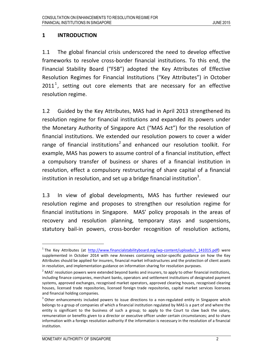#### 1 INTRODUCTION

1.1 The global financial crisis underscored the need to develop effective frameworks to resolve cross-border financial institutions. To this end, the Financial Stability Board ("FSB") adopted the Key Attributes of Effective Resolution Regimes for Financial Institutions ("Key Attributes") in October  $2011<sup>1</sup>$ , setting out core elements that are necessary for an effective resolution regime.

1.2 Guided by the Key Attributes, MAS had in April 2013 strengthened its resolution regime for financial institutions and expanded its powers under the Monetary Authority of Singapore Act ("MAS Act") for the resolution of financial institutions. We extended our resolution powers to cover a wider range of financial institutions<sup>2</sup> and enhanced our resolution toolkit. For example, MAS has powers to assume control of a financial institution, effect a compulsory transfer of business or shares of a financial institution in resolution, effect a compulsory restructuring of share capital of a financial institution in resolution, and set up a bridge financial institution<sup>3</sup>.

1.3 In view of global developments, MAS has further reviewed our resolution regime and proposes to strengthen our resolution regime for financial institutions in Singapore. MAS' policy proposals in the areas of recovery and resolution planning, temporary stays and suspensions, statutory bail-in powers, cross-border recognition of resolution actions,

<sup>&</sup>lt;sup>1</sup> The Key Attributes (at http://www.financialstabilityboard.org/wp-content/uploads/r 141015.pdf) were supplemented in October 2014 with new Annexes containing sector-specific guidance on how the Key Attributes should be applied for insurers, financial market infrastructures and the protection of client assets in resolution, and implementation guidance on information sharing for resolution purposes.

 $^2$  MAS' resolution powers were extended beyond banks and insurers, to apply to other financial institutions, including finance companies, merchant banks, operators and settlement institutions of designated payment systems, approved exchanges, recognised market operators, approved clearing houses, recognised clearing houses, licensed trade repositories, licensed foreign trade repositories, capital market services licensees and financial holding companies.

 $3$  Other enhancements included powers to issue directions to a non-regulated entity in Singapore which belongs to a group of companies of which a financial institution regulated by MAS is a part of and where the entity is significant to the business of such a group; to apply to the Court to claw back the salary, remuneration or benefits given to a director or executive officer under certain circumstances; and to share information with a foreign resolution authority if the information is necessary in the resolution of a financial institution.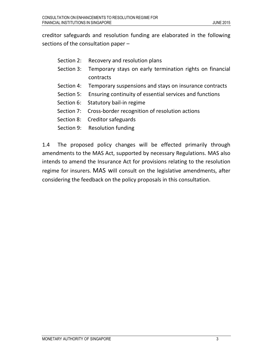creditor safeguards and resolution funding are elaborated in the following sections of the consultation paper –

- Section 2: Recovery and resolution plans
- Section 3: Temporary stays on early termination rights on financial contracts
- Section 4: Temporary suspensions and stays on insurance contracts
- Section 5: Ensuring continuity of essential services and functions
- Section 6: Statutory bail-in regime
- Section 7: Cross-border recognition of resolution actions
- Section 8: Creditor safeguards
- Section 9: Resolution funding

1.4 The proposed policy changes will be effected primarily through amendments to the MAS Act, supported by necessary Regulations. MAS also intends to amend the Insurance Act for provisions relating to the resolution regime for insurers. MAS will consult on the legislative amendments, after considering the feedback on the policy proposals in this consultation.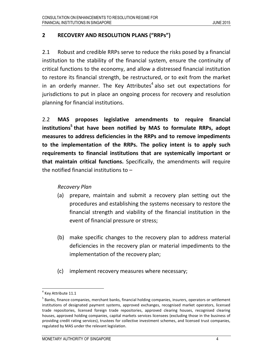## 2 RECOVERY AND RESOLUTION PLANS ("RRPs")

2.1 Robust and credible RRPs serve to reduce the risks posed by a financial institution to the stability of the financial system, ensure the continuity of critical functions to the economy, and allow a distressed financial institution to restore its financial strength, be restructured, or to exit from the market in an orderly manner. The Key Attributes<sup>4</sup> also set out expectations for jurisdictions to put in place an ongoing process for recovery and resolution planning for financial institutions.

2.2 MAS proposes legislative amendments to require financial institutions<sup>5</sup> that have been notified by MAS to formulate RRPs, adopt measures to address deficiencies in the RRPs and to remove impediments to the implementation of the RRPs. The policy intent is to apply such requirements to financial institutions that are systemically important or that maintain critical functions. Specifically, the amendments will require the notified financial institutions to –

#### Recovery Plan

- (a) prepare, maintain and submit a recovery plan setting out the procedures and establishing the systems necessary to restore the financial strength and viability of the financial institution in the event of financial pressure or stress;
- (b) make specific changes to the recovery plan to address material deficiencies in the recovery plan or material impediments to the implementation of the recovery plan;
- (c) implement recovery measures where necessary;

<sup>&</sup>lt;sup>4</sup> Key Attribute 11.1

<sup>&</sup>lt;sup>5</sup> Banks, finance companies, merchant banks, financial holding companies, insurers, operators or settlement institutions of designated payment systems, approved exchanges, recognised market operators, licensed trade repositories, licensed foreign trade repositories, approved clearing houses, recognised clearing houses, approved holding companies, capital markets services licensees (excluding those in the business of providing credit rating services), trustees for collective investment schemes, and licensed trust companies, regulated by MAS under the relevant legislation.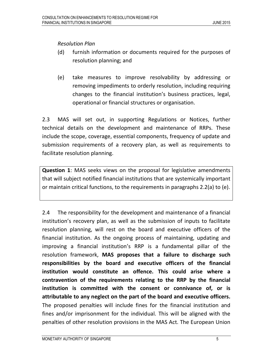Resolution Plan

- (d) furnish information or documents required for the purposes of resolution planning; and
- (e) take measures to improve resolvability by addressing or removing impediments to orderly resolution, including requiring changes to the financial institution's business practices, legal, operational or financial structures or organisation.

2.3 MAS will set out, in supporting Regulations or Notices, further technical details on the development and maintenance of RRPs. These include the scope, coverage, essential components, frequency of update and submission requirements of a recovery plan, as well as requirements to facilitate resolution planning.

Question 1: MAS seeks views on the proposal for legislative amendments that will subject notified financial institutions that are systemically important or maintain critical functions, to the requirements in paragraphs 2.2(a) to (e).

2.4 The responsibility for the development and maintenance of a financial institution's recovery plan, as well as the submission of inputs to facilitate resolution planning, will rest on the board and executive officers of the financial institution. As the ongoing process of maintaining, updating and improving a financial institution's RRP is a fundamental pillar of the resolution framework, MAS proposes that a failure to discharge such responsibilities by the board and executive officers of the financial institution would constitute an offence. This could arise where a contravention of the requirements relating to the RRP by the financial institution is committed with the consent or connivance of, or is attributable to any neglect on the part of the board and executive officers. The proposed penalties will include fines for the financial institution and fines and/or imprisonment for the individual. This will be aligned with the penalties of other resolution provisions in the MAS Act. The European Union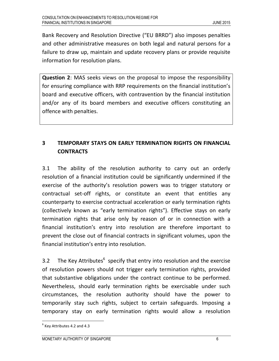Bank Recovery and Resolution Directive ("EU BRRD") also imposes penalties and other administrative measures on both legal and natural persons for a failure to draw up, maintain and update recovery plans or provide requisite information for resolution plans.

Question 2: MAS seeks views on the proposal to impose the responsibility for ensuring compliance with RRP requirements on the financial institution's board and executive officers, with contravention by the financial institution and/or any of its board members and executive officers constituting an offence with penalties.

# 3 TEMPORARY STAYS ON EARLY TERMINATION RIGHTS ON FINANCIAL **CONTRACTS**

3.1 The ability of the resolution authority to carry out an orderly resolution of a financial institution could be significantly undermined if the exercise of the authority's resolution powers was to trigger statutory or contractual set-off rights, or constitute an event that entitles any counterparty to exercise contractual acceleration or early termination rights (collectively known as "early termination rights"). Effective stays on early termination rights that arise only by reason of or in connection with a financial institution's entry into resolution are therefore important to prevent the close out of financial contracts in significant volumes, upon the financial institution's entry into resolution.

3.2 The Key Attributes $^6$  specify that entry into resolution and the exercise of resolution powers should not trigger early termination rights, provided that substantive obligations under the contract continue to be performed. Nevertheless, should early termination rights be exercisable under such circumstances, the resolution authority should have the power to temporarily stay such rights, subject to certain safeguards. Imposing a temporary stay on early termination rights would allow a resolution

 $<sup>6</sup>$  Key Attributes 4.2 and 4.3</sup>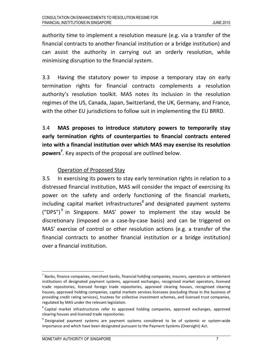authority time to implement a resolution measure (e.g. via a transfer of the financial contracts to another financial institution or a bridge institution) and can assist the authority in carrying out an orderly resolution, while minimising disruption to the financial system.

3.3 Having the statutory power to impose a temporary stay on early termination rights for financial contracts complements a resolution authority's resolution toolkit. MAS notes its inclusion in the resolution regimes of the US, Canada, Japan, Switzerland, the UK, Germany, and France, with the other EU jurisdictions to follow suit in implementing the EU BRRD.

3.4 MAS proposes to introduce statutory powers to temporarily stay early termination rights of counterparties to financial contracts entered into with a financial institution over which MAS may exercise its resolution powers<sup>7</sup>. Key aspects of the proposal are outlined below.

# Operation of Proposed Stay

3.5 In exercising its powers to stay early termination rights in relation to a distressed financial institution, MAS will consider the impact of exercising its power on the safety and orderly functioning of the financial markets, including capital market infrastructures<sup>8</sup> and designated payment systems  $({\rm "DPS''})^9$  in Singapore. MAS' power to implement the stay would be discretionary (imposed on a case-by-case basis) and can be triggered on MAS' exercise of control or other resolution actions (e.g. a transfer of the financial contracts to another financial institution or a bridge institution) over a financial institution.

 $^7$  Banks, finance companies, merchant banks, financial holding companies, insurers, operators or settlement institutions of designated payment systems, approved exchanges, recognised market operators, licensed trade repositories, licensed foreign trade repositories, approved clearing houses, recognised clearing houses, approved holding companies, capital markets services licensees (excluding those in the business of providing credit rating services), trustees for collective investment schemes, and licensed trust companies, regulated by MAS under the relevant legislation.

<sup>&</sup>lt;sup>8</sup> Capital market infrastructures refer to approved holding companies, approved exchanges, approved clearing houses and licensed trade repositories.

<sup>&</sup>lt;sup>9</sup> Designated payment systems are payment systems considered to be of systemic or system-wide importance and which have been designated pursuant to the Payment Systems (Oversight) Act.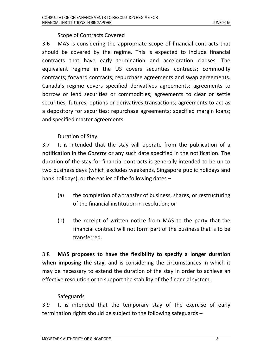# Scope of Contracts Covered

3.6 MAS is considering the appropriate scope of financial contracts that should be covered by the regime. This is expected to include financial contracts that have early termination and acceleration clauses. The equivalent regime in the US covers securities contracts; commodity contracts; forward contracts; repurchase agreements and swap agreements. Canada's regime covers specified derivatives agreements; agreements to borrow or lend securities or commodities; agreements to clear or settle securities, futures, options or derivatives transactions; agreements to act as a depository for securities; repurchase agreements; specified margin loans; and specified master agreements.

# Duration of Stay

3.7 It is intended that the stay will operate from the publication of a notification in the Gazette or any such date specified in the notification. The duration of the stay for financial contracts is generally intended to be up to two business days (which excludes weekends, Singapore public holidays and bank holidays), or the earlier of the following dates –

- (a) the completion of a transfer of business, shares, or restructuring of the financial institution in resolution; or
- (b) the receipt of written notice from MAS to the party that the financial contract will not form part of the business that is to be transferred.

3.8 MAS proposes to have the flexibility to specify a longer duration when imposing the stay, and is considering the circumstances in which it may be necessary to extend the duration of the stay in order to achieve an effective resolution or to support the stability of the financial system.

# **Safeguards**

3.9 It is intended that the temporary stay of the exercise of early termination rights should be subject to the following safeguards –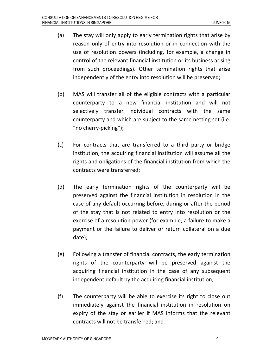- (a) The stay will only apply to early termination rights that arise by reason only of entry into resolution or in connection with the use of resolution powers (including, for example, a change in control of the relevant financial institution or its business arising from such proceedings). Other termination rights that arise independently of the entry into resolution will be preserved;
- (b) MAS will transfer all of the eligible contracts with a particular counterparty to a new financial institution and will not selectively transfer individual contracts with the same counterparty and which are subject to the same netting set (i.e. "no cherry-picking");
- (c) For contracts that are transferred to a third party or bridge institution, the acquiring financial institution will assume all the rights and obligations of the financial institution from which the contracts were transferred;
- (d) The early termination rights of the counterparty will be preserved against the financial institution in resolution in the case of any default occurring before, during or after the period of the stay that is not related to entry into resolution or the exercise of a resolution power (for example, a failure to make a payment or the failure to deliver or return collateral on a due date);
- (e) Following a transfer of financial contracts, the early termination rights of the counterparty will be preserved against the acquiring financial institution in the case of any subsequent independent default by the acquiring financial institution;
- (f) The counterparty will be able to exercise its right to close out immediately against the financial institution in resolution on expiry of the stay or earlier if MAS informs that the relevant contracts will not be transferred; and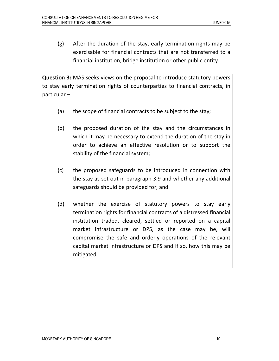(g) After the duration of the stay, early termination rights may be exercisable for financial contracts that are not transferred to a financial institution, bridge institution or other public entity.

Question 3: MAS seeks views on the proposal to introduce statutory powers to stay early termination rights of counterparties to financial contracts, in particular –

- (a) the scope of financial contracts to be subject to the stay;
- (b) the proposed duration of the stay and the circumstances in which it may be necessary to extend the duration of the stay in order to achieve an effective resolution or to support the stability of the financial system;
- (c) the proposed safeguards to be introduced in connection with the stay as set out in paragraph 3.9 and whether any additional safeguards should be provided for; and
- (d) whether the exercise of statutory powers to stay early termination rights for financial contracts of a distressed financial institution traded, cleared, settled or reported on a capital market infrastructure or DPS, as the case may be, will compromise the safe and orderly operations of the relevant capital market infrastructure or DPS and if so, how this may be mitigated.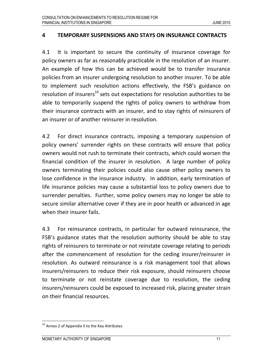#### 4 TEMPORARY SUSPENSIONS AND STAYS ON INSURANCE CONTRACTS

4.1 It is important to secure the continuity of insurance coverage for policy owners as far as reasonably practicable in the resolution of an insurer. An example of how this can be achieved would be to transfer insurance policies from an insurer undergoing resolution to another insurer. To be able to implement such resolution actions effectively, the FSB's guidance on resolution of insurers<sup>10</sup> sets out expectations for resolution authorities to be able to temporarily suspend the rights of policy owners to withdraw from their insurance contracts with an insurer, and to stay rights of reinsurers of an insurer or of another reinsurer in resolution.

4.2 For direct insurance contracts, imposing a temporary suspension of policy owners' surrender rights on these contracts will ensure that policy owners would not rush to terminate their contracts, which could worsen the financial condition of the insurer in resolution. A large number of policy owners terminating their policies could also cause other policy owners to lose confidence in the insurance industry. In addition, early termination of life insurance policies may cause a substantial loss to policy owners due to surrender penalties. Further, some policy owners may no longer be able to secure similar alternative cover if they are in poor health or advanced in age when their insurer fails.

4.3 For reinsurance contracts, in particular for outward reinsurance, the FSB's guidance states that the resolution authority should be able to stay rights of reinsurers to terminate or not reinstate coverage relating to periods after the commencement of resolution for the ceding insurer/reinsurer in resolution. As outward reinsurance is a risk management tool that allows insurers/reinsurers to reduce their risk exposure, should reinsurers choose to terminate or not reinstate coverage due to resolution, the ceding insurers/reinsurers could be exposed to increased risk, placing greater strain on their financial resources.

<sup>&</sup>lt;sup>10</sup> Annex 2 of Appendix II to the Key Attributes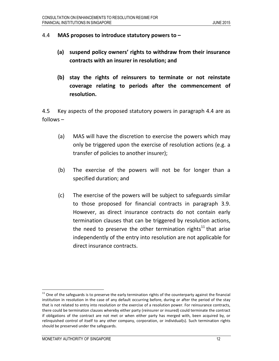#### 4.4 MAS proposes to introduce statutory powers to –

- (a) suspend policy owners' rights to withdraw from their insurance contracts with an insurer in resolution; and
- (b) stay the rights of reinsurers to terminate or not reinstate coverage relating to periods after the commencement of resolution.

4.5 Key aspects of the proposed statutory powers in paragraph 4.4 are as follows –

- (a) MAS will have the discretion to exercise the powers which may only be triggered upon the exercise of resolution actions (e.g. a transfer of policies to another insurer);
- (b) The exercise of the powers will not be for longer than a specified duration; and
- (c) The exercise of the powers will be subject to safeguards similar to those proposed for financial contracts in paragraph 3.9. However, as direct insurance contracts do not contain early termination clauses that can be triggered by resolution actions, the need to preserve the other termination rights<sup>11</sup> that arise independently of the entry into resolution are not applicable for direct insurance contracts.

 $\overline{a}$ 

 $11$  One of the safeguards is to preserve the early termination rights of the counterparty against the financial institution in resolution in the case of any default occurring before, during or after the period of the stay that is not related to entry into resolution or the exercise of a resolution power. For reinsurance contracts, there could be termination clauses whereby either party (reinsurer or insured) could terminate the contract if obligations of the contract are not met or when either party has merged with, been acquired by, or relinquished control of itself to any other company, corporation, or individual(s). Such termination rights should be preserved under the safeguards.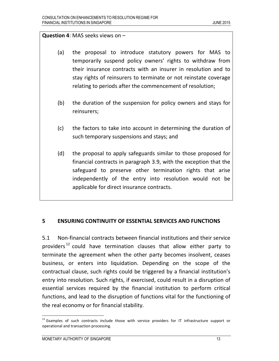#### Question 4: MAS seeks views on –

- (a) the proposal to introduce statutory powers for MAS to temporarily suspend policy owners' rights to withdraw from their insurance contracts with an insurer in resolution and to stay rights of reinsurers to terminate or not reinstate coverage relating to periods after the commencement of resolution;
- (b) the duration of the suspension for policy owners and stays for reinsurers;
- (c) the factors to take into account in determining the duration of such temporary suspensions and stays; and
- (d) the proposal to apply safeguards similar to those proposed for financial contracts in paragraph 3.9, with the exception that the safeguard to preserve other termination rights that arise independently of the entry into resolution would not be applicable for direct insurance contracts.

#### 5 ENSURING CONTINUITY OF ESSENTIAL SERVICES AND FUNCTIONS

5.1 Non-financial contracts between financial institutions and their service providers<sup>12</sup> could have termination clauses that allow either party to terminate the agreement when the other party becomes insolvent, ceases business, or enters into liquidation. Depending on the scope of the contractual clause, such rights could be triggered by a financial institution's entry into resolution. Such rights, if exercised, could result in a disruption of essential services required by the financial institution to perform critical functions, and lead to the disruption of functions vital for the functioning of the real economy or for financial stability.

<sup>&</sup>lt;sup>12</sup> Examples of such contracts include those with service providers for IT infrastructure support or operational and transaction processing.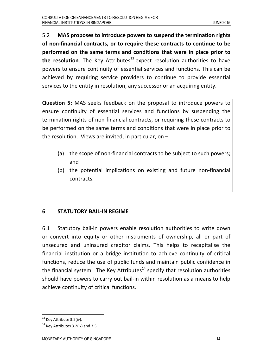5.2 MAS proposes to introduce powers to suspend the termination rights of non-financial contracts, or to require these contracts to continue to be performed on the same terms and conditions that were in place prior to the resolution. The Key Attributes<sup>13</sup> expect resolution authorities to have powers to ensure continuity of essential services and functions. This can be achieved by requiring service providers to continue to provide essential services to the entity in resolution, any successor or an acquiring entity.

Question 5: MAS seeks feedback on the proposal to introduce powers to ensure continuity of essential services and functions by suspending the termination rights of non-financial contracts, or requiring these contracts to be performed on the same terms and conditions that were in place prior to the resolution. Views are invited, in particular, on –

- (a) the scope of non-financial contracts to be subject to such powers; and
- (b) the potential implications on existing and future non-financial contracts.

## 6 STATUTORY BAIL-IN REGIME

6.1 Statutory bail-in powers enable resolution authorities to write down or convert into equity or other instruments of ownership, all or part of unsecured and uninsured creditor claims. This helps to recapitalise the financial institution or a bridge institution to achieve continuity of critical functions, reduce the use of public funds and maintain public confidence in the financial system. The Key Attributes<sup>14</sup> specify that resolution authorities should have powers to carry out bail-in within resolution as a means to help achieve continuity of critical functions.

l <sup>13</sup> Key Attribute 3.2(iv).

 $14$  Key Attributes 3.2(ix) and 3.5.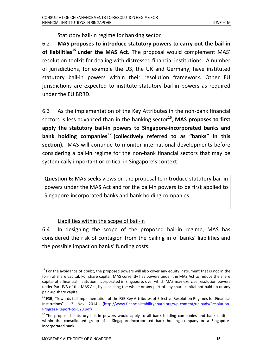#### Statutory bail-in regime for banking sector

6.2 MAS proposes to introduce statutory powers to carry out the bail-in of liabilities<sup>15</sup> under the MAS Act. The proposal would complement MAS' resolution toolkit for dealing with distressed financial institutions. A number of jurisdictions, for example the US, the UK and Germany, have instituted statutory bail-in powers within their resolution framework. Other EU jurisdictions are expected to institute statutory bail-in powers as required under the EU BRRD.

6.3 As the implementation of the Key Attributes in the non-bank financial sectors is less advanced than in the banking sector<sup>16</sup>, MAS proposes to first apply the statutory bail-in powers to Singapore-incorporated banks and bank holding companies<sup>17</sup> (collectively referred to as "banks" in this section). MAS will continue to monitor international developments before considering a bail-in regime for the non-bank financial sectors that may be systemically important or critical in Singapore's context.

Question 6: MAS seeks views on the proposal to introduce statutory bail-in powers under the MAS Act and for the bail-in powers to be first applied to Singapore-incorporated banks and bank holding companies.

## Liabilities within the scope of bail-in

6.4 In designing the scope of the proposed bail-in regime, MAS has considered the risk of contagion from the bailing in of banks' liabilities and the possible impact on banks' funding costs.

<sup>&</sup>lt;sup>15</sup> For the avoidance of doubt, the proposed powers will also cover any equity instrument that is not in the form of share capital. For share capital, MAS currently has powers under the MAS Act to reduce the share capital of a financial institution incorporated in Singapore, over which MAS may exercise resolution powers under Part IVB of the MAS Act, by cancelling the whole or any part of any share capital not paid up or any paid-up share capital.

<sup>&</sup>lt;sup>16</sup> FSB, "Towards full implementation of the FSB Key Attributes of Effective Resolution Regimes for Financial Institutions", 12 Nov 2014. (http://www.financialstabilityboard.org/wp-content/uploads/Resolution-Progress-Report-to-G20.pdf)

<sup>&</sup>lt;sup>17</sup> The proposed statutory bail-in powers would apply to all bank holding companies and bank entities within the consolidated group of a Singapore-incorporated bank holding company or a Singaporeincorporated bank.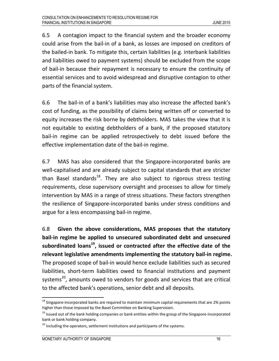6.5 A contagion impact to the financial system and the broader economy could arise from the bail-in of a bank, as losses are imposed on creditors of the bailed-in bank. To mitigate this, certain liabilities (e.g. interbank liabilities and liabilities owed to payment systems) should be excluded from the scope of bail-in because their repayment is necessary to ensure the continuity of essential services and to avoid widespread and disruptive contagion to other parts of the financial system.

6.6 The bail-in of a bank's liabilities may also increase the affected bank's cost of funding, as the possibility of claims being written off or converted to equity increases the risk borne by debtholders. MAS takes the view that it is not equitable to existing debtholders of a bank, if the proposed statutory bail-in regime can be applied retrospectively to debt issued before the effective implementation date of the bail-in regime.

6.7 MAS has also considered that the Singapore-incorporated banks are well-capitalised and are already subject to capital standards that are stricter than Basel standards<sup>18</sup>. They are also subject to rigorous stress testing requirements, close supervisory oversight and processes to allow for timely intervention by MAS in a range of stress situations. These factors strengthen the resilience of Singapore-incorporated banks under stress conditions and argue for a less encompassing bail-in regime.

6.8 Given the above considerations, MAS proposes that the statutory bail-in regime be applied to unsecured subordinated debt and unsecured subordinated loans $^{19}$ , issued or contracted after the effective date of the relevant legislative amendments implementing the statutory bail-in regime. The proposed scope of bail-in would hence exclude liabilities such as secured liabilities, short-term liabilities owed to financial institutions and payment systems<sup>20</sup>, amounts owed to vendors for goods and services that are critical to the affected bank's operations, senior debt and all deposits.

<sup>&</sup>lt;sup>18</sup> Singapore-incorporated banks are required to maintain minimum capital requirements that are 2% points higher than those imposed by the Basel Committee on Banking Supervision.

<sup>&</sup>lt;sup>19</sup> Issued out of the bank holding companies or bank entities within the group of the Singapore-incorporated bank or bank holding company.

 $20$  Including the operators, settlement institutions and participants of the systems.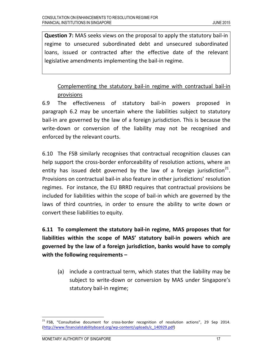Question 7: MAS seeks views on the proposal to apply the statutory bail-in regime to unsecured subordinated debt and unsecured subordinated loans, issued or contracted after the effective date of the relevant legislative amendments implementing the bail-in regime.

# Complementing the statutory bail-in regime with contractual bail-in provisions

6.9 The effectiveness of statutory bail-in powers proposed in paragraph 6.2 may be uncertain where the liabilities subject to statutory bail-in are governed by the law of a foreign jurisdiction. This is because the write-down or conversion of the liability may not be recognised and enforced by the relevant courts.

6.10 The FSB similarly recognises that contractual recognition clauses can help support the cross-border enforceability of resolution actions, where an entity has issued debt governed by the law of a foreign jurisdiction<sup>21</sup>. Provisions on contractual bail-in also feature in other jurisdictions' resolution regimes. For instance, the EU BRRD requires that contractual provisions be included for liabilities within the scope of bail-in which are governed by the laws of third countries, in order to ensure the ability to write down or convert these liabilities to equity.

6.11 To complement the statutory bail-in regime, MAS proposes that for liabilities within the scope of MAS' statutory bail-in powers which are governed by the law of a foreign jurisdiction, banks would have to comply with the following requirements –

(a) include a contractual term, which states that the liability may be subject to write-down or conversion by MAS under Singapore's statutory bail-in regime;

<sup>&</sup>lt;sup>21</sup> FSB, "Consultative document for cross-border recognition of resolution actions", 29 Sep 2014. (http://www.financialstabilityboard.org/wp-content/uploads/c\_140929.pdf)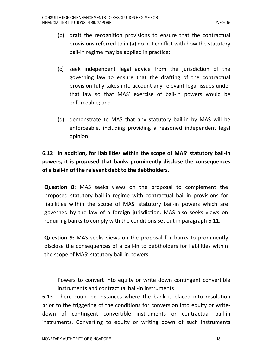- (b) draft the recognition provisions to ensure that the contractual provisions referred to in (a) do not conflict with how the statutory bail-in regime may be applied in practice;
- (c) seek independent legal advice from the jurisdiction of the governing law to ensure that the drafting of the contractual provision fully takes into account any relevant legal issues under that law so that MAS' exercise of bail-in powers would be enforceable; and
- (d) demonstrate to MAS that any statutory bail-in by MAS will be enforceable, including providing a reasoned independent legal opinion.

# 6.12 In addition, for liabilities within the scope of MAS' statutory bail-in powers, it is proposed that banks prominently disclose the consequences of a bail-in of the relevant debt to the debtholders.

Question 8: MAS seeks views on the proposal to complement the proposed statutory bail-in regime with contractual bail-in provisions for liabilities within the scope of MAS' statutory bail-in powers which are governed by the law of a foreign jurisdiction. MAS also seeks views on requiring banks to comply with the conditions set out in paragraph 6.11.

Question 9: MAS seeks views on the proposal for banks to prominently disclose the consequences of a bail-in to debtholders for liabilities within the scope of MAS' statutory bail-in powers.

# Powers to convert into equity or write down contingent convertible instruments and contractual bail-in instruments

6.13 There could be instances where the bank is placed into resolution prior to the triggering of the conditions for conversion into equity or writedown of contingent convertible instruments or contractual bail-in instruments. Converting to equity or writing down of such instruments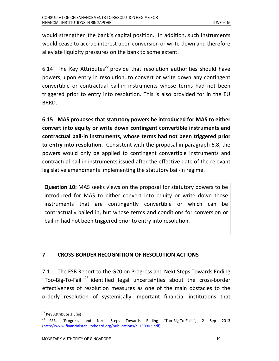would strengthen the bank's capital position. In addition, such instruments would cease to accrue interest upon conversion or write-down and therefore alleviate liquidity pressures on the bank to some extent.

6.14 The Key Attributes<sup>22</sup> provide that resolution authorities should have powers, upon entry in resolution, to convert or write down any contingent convertible or contractual bail-in instruments whose terms had not been triggered prior to entry into resolution. This is also provided for in the EU BRRD.

6.15 MAS proposes that statutory powers be introduced for MAS to either convert into equity or write down contingent convertible instruments and contractual bail-in instruments, whose terms had not been triggered prior to entry into resolution. Consistent with the proposal in paragraph 6.8, the powers would only be applied to contingent convertible instruments and contractual bail-in instruments issued after the effective date of the relevant legislative amendments implementing the statutory bail-in regime.

Question 10: MAS seeks views on the proposal for statutory powers to be introduced for MAS to either convert into equity or write down those instruments that are contingently convertible or which can be contractually bailed in, but whose terms and conditions for conversion or bail-in had not been triggered prior to entry into resolution.

# 7 CROSS-BORDER RECOGNITION OF RESOLUTION ACTIONS

7.1 The FSB Report to the G20 on Progress and Next Steps Towards Ending "Too-Big-To-Fail"<sup>23</sup> identified legal uncertainties about the cross-border effectiveness of resolution measures as one of the main obstacles to the orderly resolution of systemically important financial institutions that

<sup>&</sup>lt;sup>22</sup> Key Attribute 3.5(iii)

<sup>&</sup>lt;sup>23</sup> FSB, "Progress and Next Steps Towards Ending "Too-Big-To-Fail"", 2 Sep 2013 (http://www.financialstabilityboard.org/publications/r\_130902.pdf)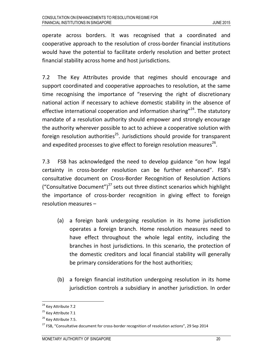operate across borders. It was recognised that a coordinated and cooperative approach to the resolution of cross-border financial institutions would have the potential to facilitate orderly resolution and better protect financial stability across home and host jurisdictions.

7.2 The Key Attributes provide that regimes should encourage and support coordinated and cooperative approaches to resolution, at the same time recognising the importance of "reserving the right of discretionary national action if necessary to achieve domestic stability in the absence of effective international cooperation and information sharing"<sup>24</sup>. The statutory mandate of a resolution authority should empower and strongly encourage the authority wherever possible to act to achieve a cooperative solution with foreign resolution authorities<sup>25</sup>. Jurisdictions should provide for transparent and expedited processes to give effect to foreign resolution measures<sup>26</sup>.

7.3 FSB has acknowledged the need to develop guidance "on how legal certainty in cross-border resolution can be further enhanced". FSB's consultative document on Cross-Border Recognition of Resolution Actions ("Consultative Document")<sup>27</sup> sets out three distinct scenarios which highlight the importance of cross-border recognition in giving effect to foreign resolution measures –

- (a) a foreign bank undergoing resolution in its home jurisdiction operates a foreign branch. Home resolution measures need to have effect throughout the whole legal entity, including the branches in host jurisdictions. In this scenario, the protection of the domestic creditors and local financial stability will generally be primary considerations for the host authorities;
- (b) a foreign financial institution undergoing resolution in its home jurisdiction controls a subsidiary in another jurisdiction. In order

l <sup>24</sup> Key Attribute 7.2

<sup>&</sup>lt;sup>25</sup> Key Attribute 7.1

<sup>&</sup>lt;sup>26</sup> Key Attribute 7.5.

<sup>&</sup>lt;sup>27</sup> FSB, "Consultative document for cross-border recognition of resolution actions", 29 Sep 2014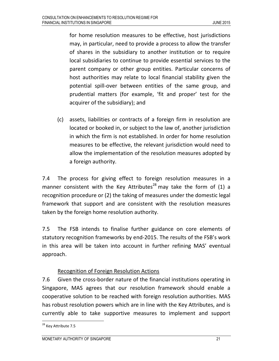for home resolution measures to be effective, host jurisdictions may, in particular, need to provide a process to allow the transfer of shares in the subsidiary to another institution or to require local subsidiaries to continue to provide essential services to the parent company or other group entities. Particular concerns of host authorities may relate to local financial stability given the potential spill-over between entities of the same group, and prudential matters (for example, 'fit and proper' test for the acquirer of the subsidiary); and

(c) assets, liabilities or contracts of a foreign firm in resolution are located or booked in, or subject to the law of, another jurisdiction in which the firm is not established. In order for home resolution measures to be effective, the relevant jurisdiction would need to allow the implementation of the resolution measures adopted by a foreign authority.

7.4 The process for giving effect to foreign resolution measures in a manner consistent with the Key Attributes<sup>28</sup> may take the form of (1) a recognition procedure or (2) the taking of measures under the domestic legal framework that support and are consistent with the resolution measures taken by the foreign home resolution authority.

7.5 The FSB intends to finalise further guidance on core elements of statutory recognition frameworks by end-2015. The results of the FSB's work in this area will be taken into account in further refining MAS' eventual approach.

# Recognition of Foreign Resolution Actions

7.6 Given the cross-border nature of the financial institutions operating in Singapore, MAS agrees that our resolution framework should enable a cooperative solution to be reached with foreign resolution authorities. MAS has robust resolution powers which are in line with the Key Attributes, and is currently able to take supportive measures to implement and support

<sup>&</sup>lt;sup>28</sup> Key Attribute 7.5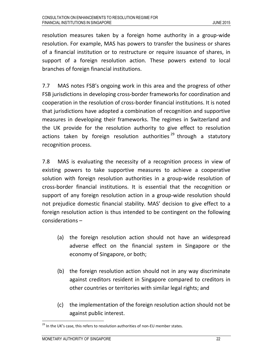resolution measures taken by a foreign home authority in a group-wide resolution. For example, MAS has powers to transfer the business or shares of a financial institution or to restructure or require issuance of shares, in support of a foreign resolution action. These powers extend to local branches of foreign financial institutions.

7.7 MAS notes FSB's ongoing work in this area and the progress of other FSB jurisdictions in developing cross-border frameworks for coordination and cooperation in the resolution of cross-border financial institutions. It is noted that jurisdictions have adopted a combination of recognition and supportive measures in developing their frameworks. The regimes in Switzerland and the UK provide for the resolution authority to give effect to resolution actions taken by foreign resolution authorities<sup>29</sup> through a statutory recognition process.

7.8 MAS is evaluating the necessity of a recognition process in view of existing powers to take supportive measures to achieve a cooperative solution with foreign resolution authorities in a group-wide resolution of cross-border financial institutions. It is essential that the recognition or support of any foreign resolution action in a group-wide resolution should not prejudice domestic financial stability. MAS' decision to give effect to a foreign resolution action is thus intended to be contingent on the following considerations –

- (a) the foreign resolution action should not have an widespread adverse effect on the financial system in Singapore or the economy of Singapore, or both;
- (b) the foreign resolution action should not in any way discriminate against creditors resident in Singapore compared to creditors in other countries or territories with similar legal rights; and
- (c) the implementation of the foreign resolution action should not be against public interest.

 $29$  In the UK's case, this refers to resolution authorities of non-EU member states.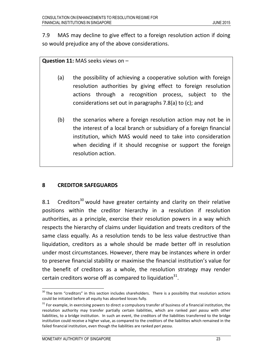7.9 MAS may decline to give effect to a foreign resolution action if doing so would prejudice any of the above considerations.

#### Question 11: MAS seeks views on -

- (a) the possibility of achieving a cooperative solution with foreign resolution authorities by giving effect to foreign resolution actions through a recognition process, subject to the considerations set out in paragraphs 7.8(a) to (c); and
- (b) the scenarios where a foreign resolution action may not be in the interest of a local branch or subsidiary of a foreign financial institution, which MAS would need to take into consideration when deciding if it should recognise or support the foreign resolution action.

## 8 CREDITOR SAFEGUARDS

8.1 Creditors<sup>30</sup> would have greater certainty and clarity on their relative positions within the creditor hierarchy in a resolution if resolution authorities, as a principle, exercise their resolution powers in a way which respects the hierarchy of claims under liquidation and treats creditors of the same class equally. As a resolution tends to be less value destructive than liquidation, creditors as a whole should be made better off in resolution under most circumstances. However, there may be instances where in order to preserve financial stability or maximise the financial institution's value for the benefit of creditors as a whole, the resolution strategy may render certain creditors worse off as compared to liquidation $^{31}$ .

<sup>&</sup>lt;sup>30</sup> The term "creditors" in this section includes shareholders. There is a possibility that resolution actions could be initiated before all equity has absorbed losses fully.

<sup>&</sup>lt;sup>31</sup> For example, in exercising powers to direct a compulsory transfer of business of a financial institution, the resolution authority may transfer partially certain liabilities, which are ranked pari passu with other liabilities, to a bridge institution. In such an event, the creditors of the liabilities transferred to the bridge institution could receive a higher value, as compared to the creditors of the liabilities which remained in the failed financial institution, even though the liabilities are ranked pari passu.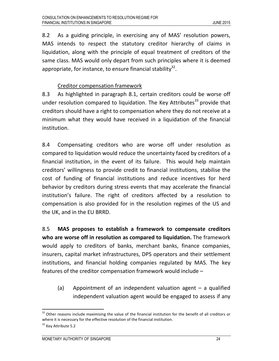8.2 As a guiding principle, in exercising any of MAS' resolution powers, MAS intends to respect the statutory creditor hierarchy of claims in liquidation, along with the principle of equal treatment of creditors of the same class. MAS would only depart from such principles where it is deemed appropriate, for instance, to ensure financial stability $^{32}$ .

## Creditor compensation framework

8.3 As highlighted in paragraph 8.1, certain creditors could be worse off under resolution compared to liquidation. The Key Attributes<sup>33</sup> provide that creditors should have a right to compensation where they do not receive at a minimum what they would have received in a liquidation of the financial institution.

8.4 Compensating creditors who are worse off under resolution as compared to liquidation would reduce the uncertainty faced by creditors of a financial institution, in the event of its failure. This would help maintain creditors' willingness to provide credit to financial institutions, stabilise the cost of funding of financial institutions and reduce incentives for herd behavior by creditors during stress events that may accelerate the financial institution's failure. The right of creditors affected by a resolution to compensation is also provided for in the resolution regimes of the US and the UK, and in the EU BRRD.

8.5 MAS proposes to establish a framework to compensate creditors who are worse off in resolution as compared to liquidation. The framework would apply to creditors of banks, merchant banks, finance companies, insurers, capital market infrastructures, DPS operators and their settlement institutions, and financial holding companies regulated by MAS. The key features of the creditor compensation framework would include –

(a) Appointment of an independent valuation agent  $-$  a qualified independent valuation agent would be engaged to assess if any

 $\overline{a}$ 

<sup>&</sup>lt;sup>32</sup> Other reasons include maximising the value of the financial institution for the benefit of all creditors or where it is necessary for the effective resolution of the financial institution.

<sup>&</sup>lt;sup>33</sup> Key Attribute 5.2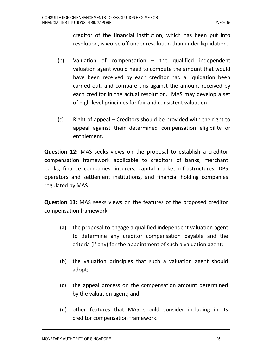creditor of the financial institution, which has been put into resolution, is worse off under resolution than under liquidation.

- (b) Valuation of compensation the qualified independent valuation agent would need to compute the amount that would have been received by each creditor had a liquidation been carried out, and compare this against the amount received by each creditor in the actual resolution. MAS may develop a set of high-level principles for fair and consistent valuation.
- (c) Right of appeal Creditors should be provided with the right to appeal against their determined compensation eligibility or entitlement.

Question 12: MAS seeks views on the proposal to establish a creditor compensation framework applicable to creditors of banks, merchant banks, finance companies, insurers, capital market infrastructures, DPS operators and settlement institutions, and financial holding companies regulated by MAS.

Question 13: MAS seeks views on the features of the proposed creditor compensation framework –

- (a) the proposal to engage a qualified independent valuation agent to determine any creditor compensation payable and the criteria (if any) for the appointment of such a valuation agent;
- (b) the valuation principles that such a valuation agent should adopt;
- (c) the appeal process on the compensation amount determined by the valuation agent; and
- (d) other features that MAS should consider including in its creditor compensation framework.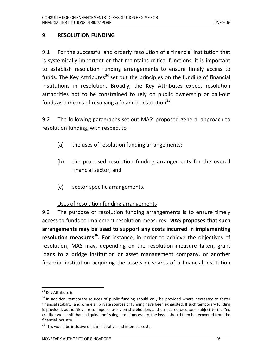## 9 RESOLUTION FUNDING

9.1 For the successful and orderly resolution of a financial institution that is systemically important or that maintains critical functions, it is important to establish resolution funding arrangements to ensure timely access to funds. The Key Attributes<sup>34</sup> set out the principles on the funding of financial institutions in resolution. Broadly, the Key Attributes expect resolution authorities not to be constrained to rely on public ownership or bail-out funds as a means of resolving a financial institution $^{35}$ .

9.2 The following paragraphs set out MAS' proposed general approach to resolution funding, with respect to –

- (a) the uses of resolution funding arrangements;
- (b) the proposed resolution funding arrangements for the overall financial sector; and
- (c) sector-specific arrangements.

## Uses of resolution funding arrangements

9.3 The purpose of resolution funding arrangements is to ensure timely access to funds to implement resolution measures. MAS proposes that such arrangements may be used to support any costs incurred in implementing resolution measures<sup>36</sup>. For instance, in order to achieve the objectives of resolution, MAS may, depending on the resolution measure taken, grant loans to a bridge institution or asset management company, or another financial institution acquiring the assets or shares of a financial institution

 $\overline{\phantom{a}}$ 

<sup>&</sup>lt;sup>34</sup> Key Attribute 6.

<sup>&</sup>lt;sup>35</sup> In addition, temporary sources of public funding should only be provided where necessary to foster financial stability, and where all private sources of funding have been exhausted. If such temporary funding is provided, authorities are to impose losses on shareholders and unsecured creditors, subject to the "no creditor worse off than in liquidation" safeguard. If necessary, the losses should then be recovered from the financial industry.

 $36$  This would be inclusive of administrative and interests costs.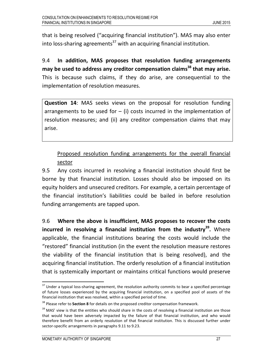that is being resolved ("acquiring financial institution"). MAS may also enter into loss-sharing agreements<sup>37</sup> with an acquiring financial institution.

9.4 In addition, MAS proposes that resolution funding arrangements may be used to address any creditor compensation claims<sup>38</sup> that may arise. This is because such claims, if they do arise, are consequential to the implementation of resolution measures.

Question 14: MAS seeks views on the proposal for resolution funding arrangements to be used for  $-$  (i) costs incurred in the implementation of resolution measures; and (ii) any creditor compensation claims that may arise.

Proposed resolution funding arrangements for the overall financial sector

9.5 Any costs incurred in resolving a financial institution should first be borne by that financial institution. Losses should also be imposed on its equity holders and unsecured creditors. For example, a certain percentage of the financial institution's liabilities could be bailed in before resolution funding arrangements are tapped upon.

9.6 Where the above is insufficient, MAS proposes to recover the costs incurred in resolving a financial institution from the industry<sup>39</sup>. Where applicable, the financial institutions bearing the costs would include the "restored" financial institution (in the event the resolution measure restores the viability of the financial institution that is being resolved), and the acquiring financial institution. The orderly resolution of a financial institution that is systemically important or maintains critical functions would preserve

<sup>&</sup>lt;sup>37</sup> Under a typical loss-sharing agreement, the resolution authority commits to bear a specified percentage of future losses experienced by the acquiring financial institution, on a specified pool of assets of the financial institution that was resolved, within a specified period of time.

<sup>&</sup>lt;sup>38</sup> Please refer to **Section 8** for details on the proposed creditor compensation framework.

<sup>&</sup>lt;sup>39</sup> MAS' view is that the entities who should share in the costs of resolving a financial institution are those that would have been adversely impacted by the failure of that financial institution, and who would therefore benefit from an orderly resolution of that financial institution. This is discussed further under sector-specific arrangements in paragraphs 9.11 to 9.23.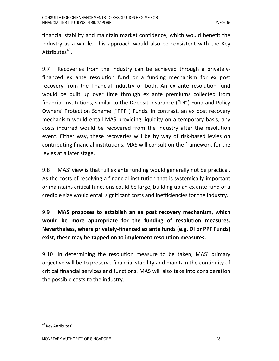financial stability and maintain market confidence, which would benefit the industry as a whole. This approach would also be consistent with the Key Attributes<sup>40</sup>.

9.7 Recoveries from the industry can be achieved through a privatelyfinanced ex ante resolution fund or a funding mechanism for ex post recovery from the financial industry or both. An ex ante resolution fund would be built up over time through ex ante premiums collected from financial institutions, similar to the Deposit Insurance ("DI") Fund and Policy Owners' Protection Scheme ("PPF") Funds. In contrast, an ex post recovery mechanism would entail MAS providing liquidity on a temporary basis; any costs incurred would be recovered from the industry after the resolution event. Either way, these recoveries will be by way of risk-based levies on contributing financial institutions. MAS will consult on the framework for the levies at a later stage.

9.8 MAS' view is that full ex ante funding would generally not be practical. As the costs of resolving a financial institution that is systemically-important or maintains critical functions could be large, building up an ex ante fund of a credible size would entail significant costs and inefficiencies for the industry.

9.9 MAS proposes to establish an ex post recovery mechanism, which would be more appropriate for the funding of resolution measures. Nevertheless, where privately-financed ex ante funds (e.g. DI or PPF Funds) exist, these may be tapped on to implement resolution measures.

9.10 In determining the resolution measure to be taken, MAS' primary objective will be to preserve financial stability and maintain the continuity of critical financial services and functions. MAS will also take into consideration the possible costs to the industry.

<sup>&</sup>lt;sup>40</sup> Key Attribute 6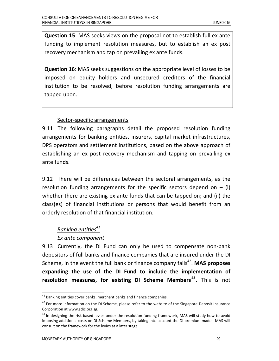Question 15: MAS seeks views on the proposal not to establish full ex ante funding to implement resolution measures, but to establish an ex post recovery mechanism and tap on prevailing ex ante funds.

Question 16: MAS seeks suggestions on the appropriate level of losses to be imposed on equity holders and unsecured creditors of the financial institution to be resolved, before resolution funding arrangements are tapped upon.

#### Sector-specific arrangements

9.11 The following paragraphs detail the proposed resolution funding arrangements for banking entities, insurers, capital market infrastructures, DPS operators and settlement institutions, based on the above approach of establishing an ex post recovery mechanism and tapping on prevailing ex ante funds.

9.12 There will be differences between the sectoral arrangements, as the resolution funding arrangements for the specific sectors depend on  $-$  (i) whether there are existing ex ante funds that can be tapped on; and (ii) the class(es) of financial institutions or persons that would benefit from an orderly resolution of that financial institution.

# Banking entities<sup>41</sup>

## Ex ante component

9.13 Currently, the DI Fund can only be used to compensate non-bank depositors of full banks and finance companies that are insured under the DI Scheme, in the event the full bank or finance company fails<sup>42</sup>. MAS proposes expanding the use of the DI Fund to include the implementation of resolution measures, for existing DI Scheme Members<sup>43</sup>. This is not

 $\overline{\phantom{a}}$ 

 $41$  Banking entities cover banks, merchant banks and finance companies.

<sup>&</sup>lt;sup>42</sup> For more information on the DI Scheme, please refer to the website of the Singapore Deposit Insurance Corporation at www.sdic.org.sg.

 $43$  In designing the risk-based levies under the resolution funding framework, MAS will study how to avoid imposing additional costs on DI Scheme Members, by taking into account the DI premium made. MAS will consult on the framework for the levies at a later stage.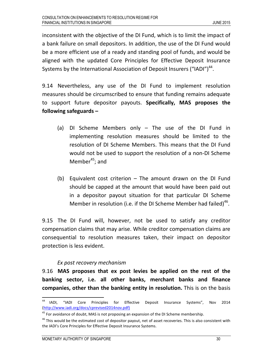inconsistent with the objective of the DI Fund, which is to limit the impact of a bank failure on small depositors. In addition, the use of the DI Fund would be a more efficient use of a ready and standing pool of funds, and would be aligned with the updated Core Principles for Effective Deposit Insurance Systems by the International Association of Deposit Insurers ("IADI") $^{44}$ .

9.14 Nevertheless, any use of the DI Fund to implement resolution measures should be circumscribed to ensure that funding remains adequate to support future depositor payouts. Specifically, MAS proposes the following safeguards –

- (a) DI Scheme Members only The use of the DI Fund in implementing resolution measures should be limited to the resolution of DI Scheme Members. This means that the DI Fund would not be used to support the resolution of a non-DI Scheme Member $45$ ; and
- (b) Equivalent cost criterion The amount drawn on the DI Fund should be capped at the amount that would have been paid out in a depositor payout situation for that particular DI Scheme Member in resolution (i.e. if the DI Scheme Member had failed)<sup>46</sup>.

9.15 The DI Fund will, however, not be used to satisfy any creditor compensation claims that may arise. While creditor compensation claims are consequential to resolution measures taken, their impact on depositor protection is less evident.

## Ex post recovery mechanism

9.16 MAS proposes that ex post levies be applied on the rest of the banking sector, i.e. all other banks, merchant banks and finance companies, other than the banking entity in resolution. This is on the basis

<sup>44</sup> <sup>44</sup> IADI, "IADI Core Principles for Effective Deposit Insurance Systems", Nov 2014 (http://www.iadi.org/docs/cprevised2014nov.pdf)

 $45$  For avoidance of doubt, MAS is not proposing an expansion of the DI Scheme membership.

<sup>&</sup>lt;sup>46</sup> This would be the estimated cost of depositor payout, net of asset recoveries. This is also consistent with the IADI's Core Principles for Effective Deposit Insurance Systems.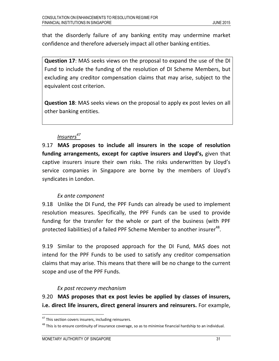that the disorderly failure of any banking entity may undermine market confidence and therefore adversely impact all other banking entities.

Question 17: MAS seeks views on the proposal to expand the use of the DI Fund to include the funding of the resolution of DI Scheme Members, but excluding any creditor compensation claims that may arise, subject to the equivalent cost criterion.

Question 18: MAS seeks views on the proposal to apply ex post levies on all other banking entities.

# Insurers<sup>47</sup>

9.17 MAS proposes to include all insurers in the scope of resolution funding arrangements, except for captive insurers and Lloyd's, given that captive insurers insure their own risks. The risks underwritten by Lloyd's service companies in Singapore are borne by the members of Lloyd's syndicates in London.

# Ex ante component

9.18 Unlike the DI Fund, the PPF Funds can already be used to implement resolution measures. Specifically, the PPF Funds can be used to provide funding for the transfer for the whole or part of the business (with PPF protected liabilities) of a failed PPF Scheme Member to another insurer $^{48}$ .

9.19 Similar to the proposed approach for the DI Fund, MAS does not intend for the PPF Funds to be used to satisfy any creditor compensation claims that may arise. This means that there will be no change to the current scope and use of the PPF Funds.

# Ex post recovery mechanism

9.20 MAS proposes that ex post levies be applied by classes of insurers, i.e. direct life insurers, direct general insurers and reinsurers. For example,

<sup>&</sup>lt;sup>47</sup> This section covers insurers, including reinsurers.

 $^{48}$  This is to ensure continuity of insurance coverage, so as to minimise financial hardship to an individual.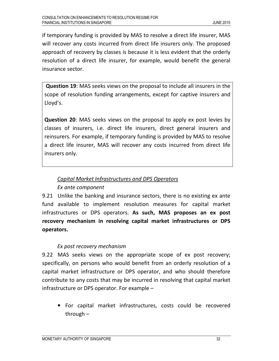if temporary funding is provided by MAS to resolve a direct life insurer, MAS will recover any costs incurred from direct life insurers only. The proposed approach of recovery by classes is because it is less evident that the orderly resolution of a direct life insurer, for example, would benefit the general insurance sector.

Question 19: MAS seeks views on the proposal to include all insurers in the scope of resolution funding arrangements, except for captive insurers and Lloyd's.

Question 20: MAS seeks views on the proposal to apply ex post levies by classes of insurers, i.e. direct life insurers, direct general insurers and reinsurers. For example, if temporary funding is provided by MAS to resolve a direct life insurer, MAS will recover any costs incurred from direct life insurers only.

# Capital Market Infrastructures and DPS Operators

## Ex ante component

9.21 Unlike the banking and insurance sectors, there is no existing ex ante fund available to implement resolution measures for capital market infrastructures or DPS operators. As such, MAS proposes an ex post recovery mechanism in resolving capital market infrastructures or DPS operators.

# Ex post recovery mechanism

9.22 MAS seeks views on the appropriate scope of ex post recovery; specifically, on persons who would benefit from an orderly resolution of a capital market infrastructure or DPS operator, and who should therefore contribute to any costs that may be incurred in resolving that capital market infrastructure or DPS operator. For example –

• For capital market infrastructures, costs could be recovered through –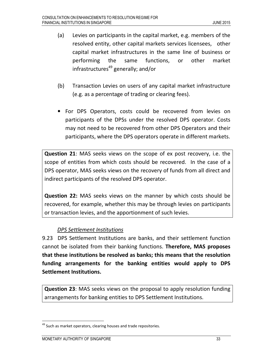- (a) Levies on participants in the capital market, e.g. members of the resolved entity, other capital markets services licensees, other capital market infrastructures in the same line of business or performing the same functions, or other market infrastructures<sup>49</sup> generally; and/or
- (b) Transaction Levies on users of any capital market infrastructure (e.g. as a percentage of trading or clearing fees).
- For DPS Operators, costs could be recovered from levies on participants of the DPSs under the resolved DPS operator. Costs may not need to be recovered from other DPS Operators and their participants, where the DPS operators operate in different markets.

Question 21: MAS seeks views on the scope of ex post recovery, i.e. the scope of entities from which costs should be recovered. In the case of a DPS operator, MAS seeks views on the recovery of funds from all direct and indirect participants of the resolved DPS operator.

Question 22: MAS seeks views on the manner by which costs should be recovered, for example, whether this may be through levies on participants or transaction levies, and the apportionment of such levies.

## DPS Settlement Institutions

9.23 DPS Settlement Institutions are banks, and their settlement function cannot be isolated from their banking functions. Therefore, MAS proposes that these institutions be resolved as banks; this means that the resolution funding arrangements for the banking entities would apply to DPS Settlement Institutions.

Question 23: MAS seeks views on the proposal to apply resolution funding arrangements for banking entities to DPS Settlement Institutions.

<sup>&</sup>lt;sup>49</sup> Such as market operators, clearing houses and trade repositories.